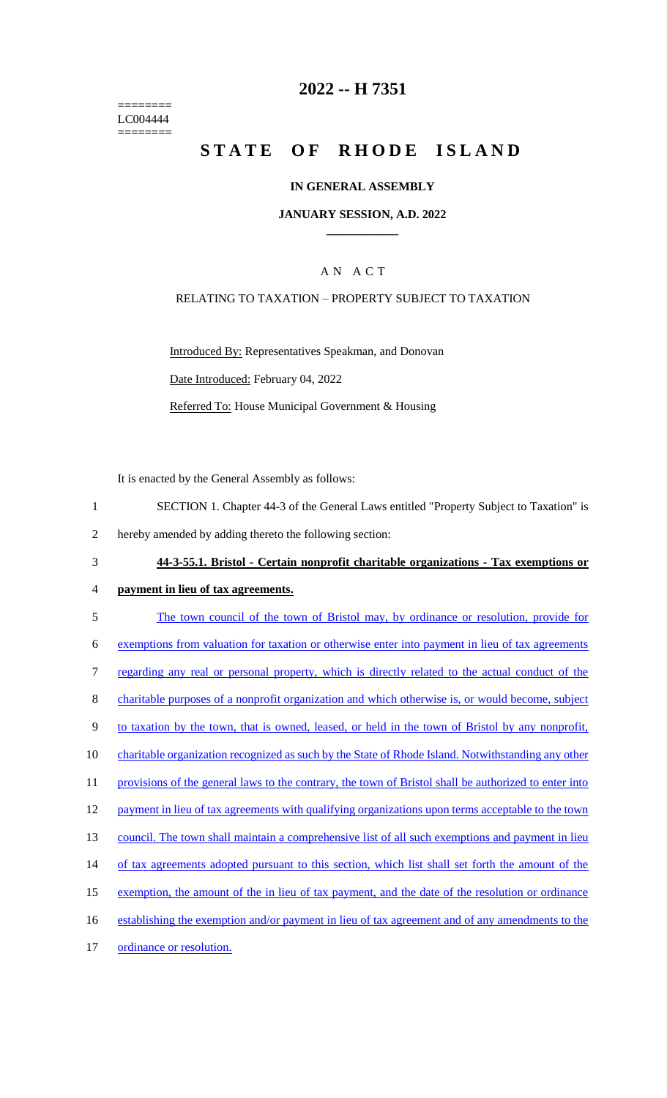======== LC004444 ========

## **2022 -- H 7351**

# **STATE OF RHODE ISLAND**

### **IN GENERAL ASSEMBLY**

### **JANUARY SESSION, A.D. 2022 \_\_\_\_\_\_\_\_\_\_\_\_**

## A N A C T

### RELATING TO TAXATION – PROPERTY SUBJECT TO TAXATION

Introduced By: Representatives Speakman, and Donovan Date Introduced: February 04, 2022 Referred To: House Municipal Government & Housing

It is enacted by the General Assembly as follows:

- 1 SECTION 1. Chapter 44-3 of the General Laws entitled "Property Subject to Taxation" is
- 2 hereby amended by adding thereto the following section:
- 3 **44-3-55.1. Bristol - Certain nonprofit charitable organizations - Tax exemptions or**
- 4 **payment in lieu of tax agreements.**
- 5 The town council of the town of Bristol may, by ordinance or resolution, provide for 6 exemptions from valuation for taxation or otherwise enter into payment in lieu of tax agreements 7 regarding any real or personal property, which is directly related to the actual conduct of the 8 charitable purposes of a nonprofit organization and which otherwise is, or would become, subject 9 to taxation by the town, that is owned, leased, or held in the town of Bristol by any nonprofit, 10 charitable organization recognized as such by the State of Rhode Island. Notwithstanding any other 11 provisions of the general laws to the contrary, the town of Bristol shall be authorized to enter into 12 payment in lieu of tax agreements with qualifying organizations upon terms acceptable to the town 13 council. The town shall maintain a comprehensive list of all such exemptions and payment in lieu 14 of tax agreements adopted pursuant to this section, which list shall set forth the amount of the 15 exemption, the amount of the in lieu of tax payment, and the date of the resolution or ordinance 16 establishing the exemption and/or payment in lieu of tax agreement and of any amendments to the 17 ordinance or resolution.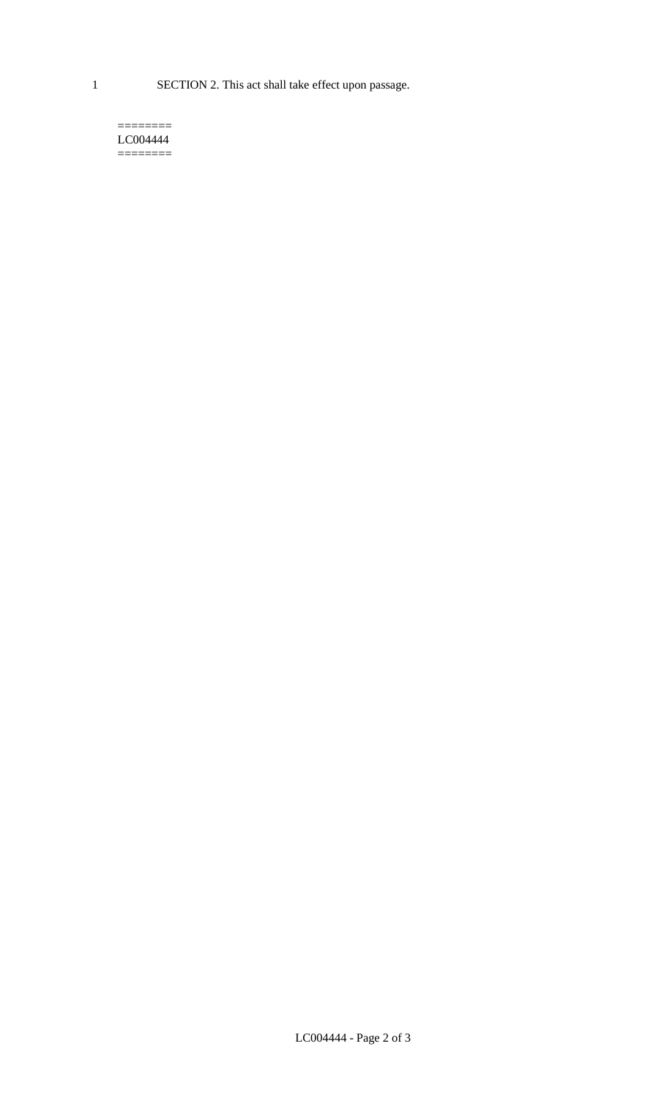1 SECTION 2. This act shall take effect upon passage.

#### $=$ LC004444  $=$

LC004444 - Page 2 of 3